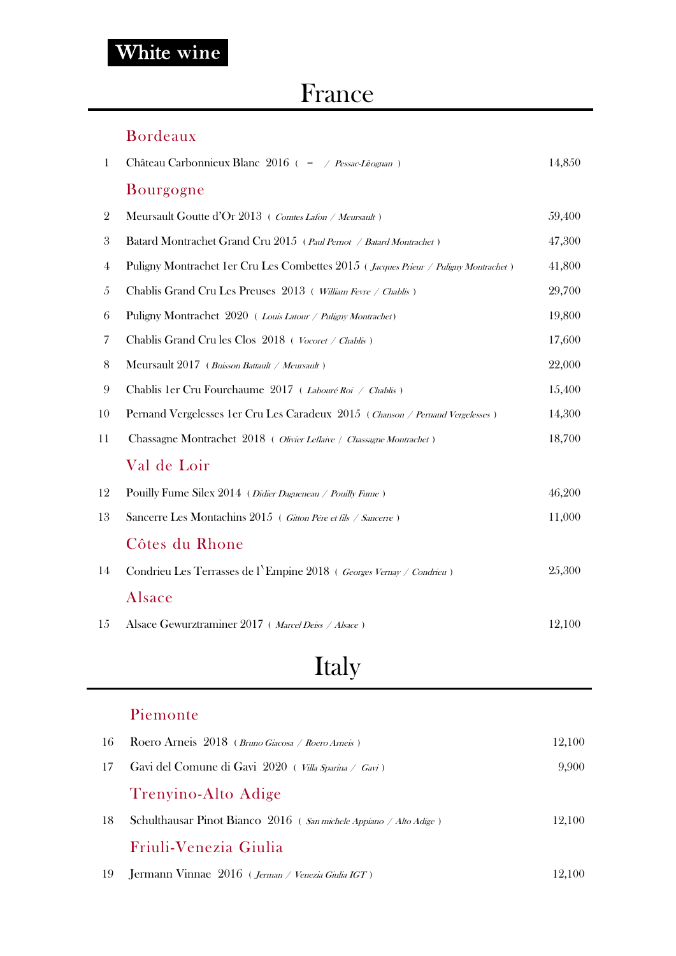### France

#### Bordeaux

| 1              | Château Carbonnieux Blanc 2016 ( - / Pessac-Léognan)                                          | 14,850 |
|----------------|-----------------------------------------------------------------------------------------------|--------|
|                | Bourgogne                                                                                     |        |
| $\overline{2}$ | Meursault Goutte d'Or 2013 (Comtes Lafon / Meursault)                                         | 59,400 |
| 3              | Batard Montrachet Grand Cru 2015 (Paul Pernot / Batard Montrachet)                            | 47,300 |
| 4              | Puligny Montrachet 1 er Cru Les Combettes 2015 ( <i>Jacques Prieur / Puligny Montrachet</i> ) | 41,800 |
| 5              | Chablis Grand Cru Les Preuses 2013 (William Fevre / Chablis)                                  | 29,700 |
| 6              | Puligny Montrachet 2020 ( <i>Louis Latour / Puligny Montrachet</i> )                          | 19,800 |
| 7              | Chablis Grand Cru les Clos 2018 (Vocoret / Chablis)                                           | 17,600 |
| 8              | Meursault $2017$ ( <i>Buisson Battault / Meursault</i> )                                      | 22,000 |
| 9              | Chablis 1 er Cru Fourchaume 2017 (Labouré Roi / Chablis)                                      | 15,400 |
| 10             | Pernand Vergelesses 1er Cru Les Caradeux 2015 (Chanson / Pernand Vergelesses)                 | 14,300 |
| 11             | Chassagne Montrachet 2018 (Olivier Leflaive / Chassagne Montrachet)                           | 18,700 |
|                | Val de Loir                                                                                   |        |
| 12             | Pouilly Fume Silex 2014 (Didier Dagueneau / Pouilly Fume)                                     | 46,200 |
| 13             | Sancerre Les Montachins 2015 (Gitton Pére et fils / Sancerre)                                 | 11,000 |
|                | Côtes du Rhone                                                                                |        |
| 14             | Condrieu Les Terrasses de l'Empine 2018 ( Georges Vernay / Condrieu)                          | 25,300 |
|                | Alsace                                                                                        |        |
| 15             | Alsace Gewurztraminer 2017 ( <i>Marcel Deiss / Alsace</i> )                                   | 12,100 |

# Italy

#### Piemonte

| -16 | Roero Arneis 2018 (Bruno Giacosa / Roero Arneis)                             | 12,100 |
|-----|------------------------------------------------------------------------------|--------|
| 17  | Gavi del Comune di Gavi 2020 (Villa Sparina / Gavi)                          | 9,900  |
|     | Trenyino-Alto Adige                                                          |        |
| 18  | Schulthausar Pinot Bianco $2016$ ( <i>San michele Appiano / Alto Adige</i> ) | 12.100 |
|     | Friuli-Venezia Giulia                                                        |        |
| -19 | Jermann Vinnae 2016 (Jerman / Venezia Giulia IGT)                            | 12.100 |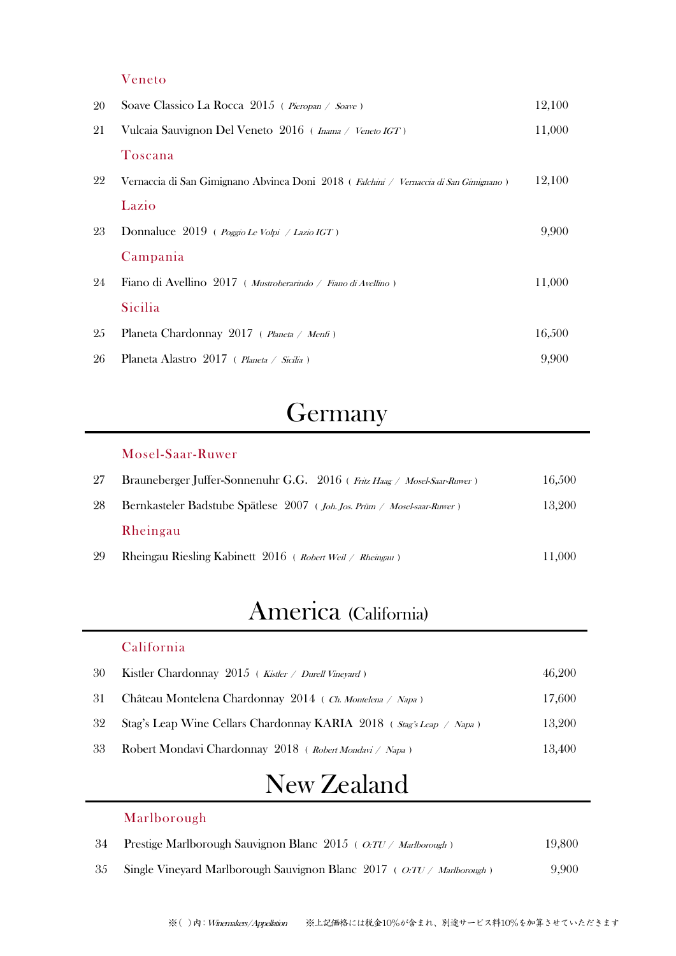#### Veneto

| 20 | Soave Classico La Rocca $2015$ ( <i>Pieropan / Soave</i> )                                    | 12,100 |
|----|-----------------------------------------------------------------------------------------------|--------|
| 21 | Vulcaia Sauvignon Del Veneto 2016 ( <i>Inama / Veneto IGT</i> )                               | 11,000 |
|    | Toscana                                                                                       |        |
| 22 | Vernaccia di San Gimignano Abvinea Doni 2018 ( <i>Falchini / Vernaccia di San Gimignano</i> ) | 12,100 |
|    | Lazio                                                                                         |        |
| 23 | Donnaluce $2019$ ( <i>Poggio Le Volpi / Lazio IGT</i> )                                       | 9,900  |
|    | Campania                                                                                      |        |
| 24 | Fiano di Avellino 2017 (Mustroberarindo / Fiano di Avellino)                                  | 11,000 |
|    | Sicilia                                                                                       |        |
| 25 | Planeta Chardonnay 2017 ( <i>Planeta / Menfi</i> )                                            | 16,500 |
| 26 | Planeta Alastro 2017 ( Planeta / Sicilia )                                                    | 9,900  |

## Germany

Mosel-Saar-Ruwer

| 27 | Brauneberger Juffer-Sonnenuhr G.G. 2016 (Fritz Haag / Mosel-Saar-Ruwer) | 16,500 |
|----|-------------------------------------------------------------------------|--------|
| 28 | Bernkasteler Badstube Spätlese 2007 (Joh. Jos. Prüm / Mosel-saar-Ruwer) | 13,200 |
|    | Rheingau                                                                |        |
| 29 | Rheingau Riesling Kabinett $2016$ ( <i>Robert Weil / Rheingau</i> )     | 11.000 |

## America (California)

#### California

Marlborough

| 30 | Kistler Chardonnay $2015$ ( <i>Kistler / Durell Vineyard</i> )         | 46,200 |
|----|------------------------------------------------------------------------|--------|
|    | 31 Château Montelena Chardonnay 2014 (Ch. Montelena / Napa)            | 17,600 |
|    | 32 Stag's Leap Wine Cellars Chardonnay KARIA 2018 (Stag's Leap / Napa) | 13,200 |
| 33 | Robert Mondavi Chardonnay 2018 (Robert Mondavi / Napa)                 | 13,400 |

## New Zealand

| 34 Prestige Marlborough Sauvignon Blanc $2015$ ( <i>O:TU / Marlborough</i> )        | 19,800 |
|-------------------------------------------------------------------------------------|--------|
| 35 Single Vineyard Marlborough Sauvignon Blanc $2017$ ( <i>O:TU / Marlborough</i> ) | 9.900  |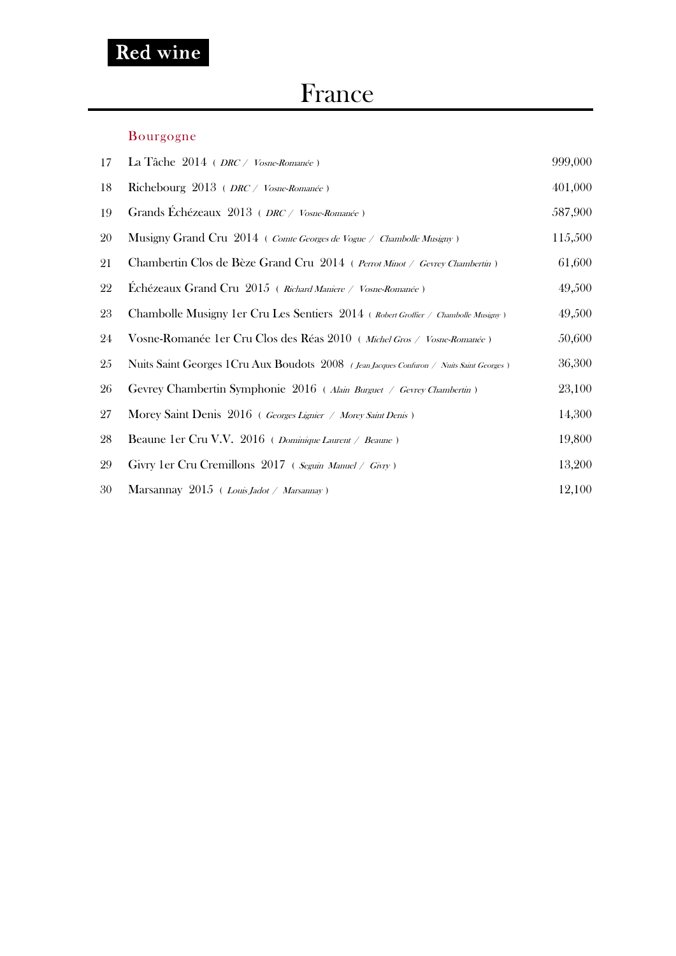### France

#### Bourgogne

| 17 | La Tâche $2014$ ( <i>DRC / Vosne-Romanée</i> )                                          | 999,000 |
|----|-----------------------------------------------------------------------------------------|---------|
| 18 | Richebourg 2013 ( <i>DRC / Vosne-Romanée</i> )                                          | 401,000 |
| 19 | Grands Echézeaux 2013 (DRC / Vosne-Romanée)                                             | 587,900 |
| 20 | Musigny Grand Cru $2014$ ( <i>Comte Georges de Vogue / Chambolle Musigny</i> )          | 115,500 |
| 21 | Chambertin Clos de Bèze Grand Cru 2014 ( Perrot Minot / Gevrey Chambertin)              | 61,600  |
| 22 | Echézeaux Grand Cru 2015 ( Richard Maniere / Vosne-Romanée)                             | 49,500  |
| 23 | Chambolle Musigny 1er Cru Les Sentiers 2014 (Robert Groffier / Chambolle Musigny)       | 49,500  |
| 24 | Vosne-Romanée 1 er Cru Clos des Réas 2010 (Michel Gros / Vosne-Romanée)                 | 50,600  |
| 25 | Nuits Saint Georges 1Cru Aux Boudots 2008 (Jean Jacques Confuron / Nuits Saint Georges) | 36,300  |
| 26 | Gevrey Chambertin Symphonie 2016 (Alain Burguet / Gevrey Chambertin)                    | 23,100  |
| 27 | Morey Saint Denis 2016 (Georges Lignier / Morey Saint Denis)                            | 14,300  |
| 28 | Beaune 1er Cru V.V. 2016 ( <i>Dominique Laurent / Beaune</i> )                          | 19,800  |
| 29 | Givry 1er Cru Cremillons 2017 (Seguin Manuel / Givry)                                   | 13,200  |
| 30 | Marsannay $2015$ ( <i>Louis Jadot / Marsannay</i> )                                     | 12,100  |